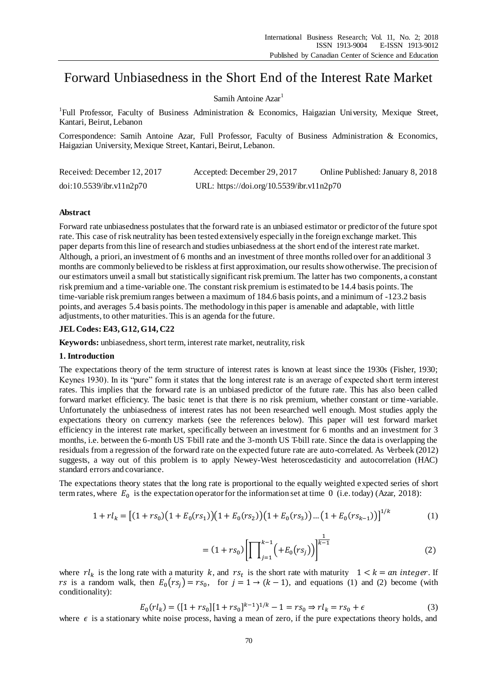# Forward Unbiasedness in the Short End of the Interest Rate Market

# Samih Antoine  $Azar<sup>1</sup>$

<sup>1</sup>Full Professor, Faculty of Business Administration & Economics, Haigazian University, Mexique Street, Kantari, Beirut, Lebanon

Correspondence: Samih Antoine Azar, Full Professor, Faculty of Business Administration & Economics, Haigazian University, Mexique Street, Kantari, Beirut, Lebanon.

| Received: December 12, 2017 | Accepted: December 29, 2017               | Online Published: January 8, 2018 |
|-----------------------------|-------------------------------------------|-----------------------------------|
| doi:10.5539/ibr.v11n2p70    | URL: https://doi.org/10.5539/ibr.v11n2p70 |                                   |

## **Abstract**

Forward rate unbiasedness postulates that the forward rate is an unbiased estimator or predictor of the future spot rate. This case of risk neutrality has been tested extensively especially in the foreign exchange market. This paper departs from this line of research and studies unbiasedness at the short end of the interest rate market. Although, a priori, an investment of 6 months and an investment of three months rolled over for an additional 3 months are commonly believed to be riskless at first approximation, our results show otherwise. The precision of our estimators unveil a small but statistically significant risk premium. The latter has two components, a constant risk premium and a time-variable one. The constant risk premium is estimated to be 14.4 basis points. The time-variable risk premium ranges between a maximum of 184.6 basis points, and a minimum of -123.2 basis points, and averages 5.4 basis points. The methodology in this paper is amenable and adaptable, with little adjustments, to other maturities. This is an agenda for the future.

## **JEL Codes: E43, G12, G14, C22**

**Keywords:** unbiasedness, short term, interest rate market, neutrality, risk

#### **1. Introduction**

The expectations theory of the term structure of interest rates is known at least since the 1930s (Fisher, 1930; Keynes 1930). In its "pure" form it states that the long interest rate is an average of expected short term interest rates. This implies that the forward rate is an unbiased predictor of the future rate. This has also been called forward market efficiency. The basic tenet is that there is no risk premium, whether constant or time -variable. Unfortunately the unbiasedness of interest rates has not been researched well enough. Most studies apply the expectations theory on currency markets (see the references below). This paper will test forward market efficiency in the interest rate market, specifically between an investment for 6 months and an investment for 3 months, i.e. between the 6-month US T-bill rate and the 3-month US T-bill rate. Since the data is overlapping the residuals from a regression of the forward rate on the expected future rate are auto-correlated. As Verbeek (2012) suggests, a way out of this problem is to apply Newey-West heteroscedasticity and autocorrelation (HAC) standard errors and covariance.

The expectations theory states that the long rate is proportional to the equally weighted expected series of short term rates, where  $E_0$  is the expectation operator for the information set at time 0 (i.e. today) (Azar, 2018):

$$
1 + r l_k = [(1 + r s_0)(1 + E_0(r s_1))(1 + E_0(r s_2))(1 + E_0(r s_3))...(1 + E_0(r s_{k-1}))]^{1/k}
$$
 (1)

$$
= (1 + rs_0) \left[ \prod_{j=1}^{k-1} \left( +E_0(rs_j) \right) \right]^{\frac{1}{k-1}} \tag{2}
$$

where  $rl_k$  is the long rate with a maturity k, and  $rs_t$  is the short rate with maturity  $1 < k = an$  integer. If *rs* is a random walk, then  $E_0(rs_j) = rs_0$ , for  $j = 1 \rightarrow (k-1)$ , and equations (1) and (2) become (with conditionality):

$$
E_0(rl_k) = ([1 + rs_0][1 + rs_0]^{k-1})^{1/k} - 1 = rs_0 \Rightarrow rl_k = rs_0 + \epsilon
$$
\n(3)

where  $\epsilon$  is a stationary white noise process, having a mean of zero, if the pure expectations theory holds, and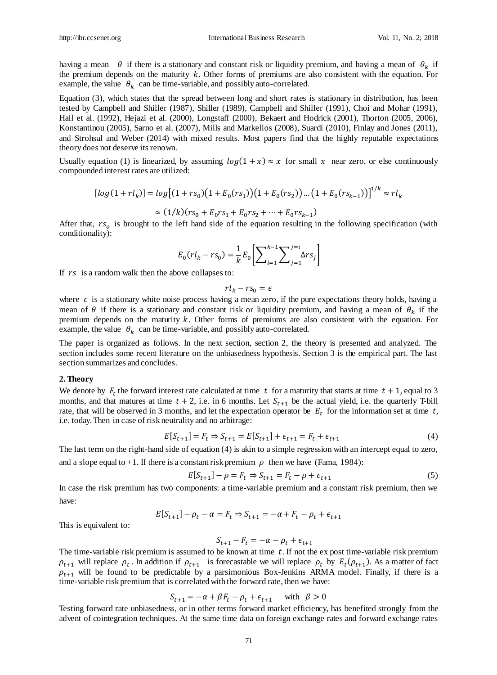having a mean  $\theta$  if there is a stationary and constant risk or liquidity premium, and having a mean of  $\theta_k$  if the premium depends on the maturity  $k$ . Other forms of premiums are also consistent with the equation. For example, the value  $\theta_k$  can be time-variable, and possibly auto-correlated.

Equation (3), which states that the spread between long and short rates is stationary in distribution, has been tested by Campbell and Shiller (1987), Shiller (1989), Campbell and Shiller (1991), Choi and Mohar (1991), Hall et al. (1992), Hejazi et al. (2000), Longstaff (2000), Bekaert and Hodrick (2001), Thorton (2005, 2006), Konstantinou (2005), Sarno et al. (2007), Mills and Markellos (2008), Suardi (2010), Finlay and Jones (2011), and Strohsal and Weber (2014) with mixed results. Most papers find that the highly reputable expectations theory does not deserve its renown.

Usually equation (1) is linearized, by assuming  $log(1 + x) \approx x$  for small x near zero, or else continuously compounded interest rates are utilized:

$$
[log(1+rl_k)] = log[(1+rs_0)(1+E_0(rs_1))(1+E_0(rs_2))...(1+E_0(rs_{k-1}))^{1/k} \approx rl_k
$$

$$
\approx (1/k)(rs_0 + E_0 rs_1 + E_0 rs_2 + \dots + E_0 rs_{k-1})
$$

After that,  $rs<sub>o</sub>$  is brought to the left hand side of the equation resulting in the following specification (with conditionality):

$$
E_0(rl_k - rs_0) = \frac{1}{k} E_0 \left[ \sum_{i=1}^{k-1} \sum_{j=1}^{j=i} \Delta r s_j \right]
$$

If  $rs$  is a random walk then the above collapses to:

$$
rl_k - rs_0 = \epsilon
$$

where  $\epsilon$  is a stationary white noise process having a mean zero, if the pure expectations theory holds, having a mean of  $\theta$  if there is a stationary and constant risk or liquidity premium, and having a mean of  $\theta_k$  if the premium depends on the maturity  $k$ . Other forms of premiums are also consistent with the equation. For example, the value  $\theta_k$  can be time-variable, and possibly auto-correlated.

The paper is organized as follows. In the next section, section 2, the theory is presented and analyzed. The section includes some recent literature on the unbiasedness hypothesis. Section 3 is the empirical part. The last section summarizes and concludes.

#### **2. Theory**

We denote by  $F_t$  the forward interest rate calculated at time t for a maturity that starts at time  $t + 1$ , equal to 3 months, and that matures at time  $t + 2$ , i.e. in 6 months. Let  $S_{t+1}$  be the actual yield, i.e. the quarterly T-bill rate, that will be observed in 3 months, and let the expectation operator be  $E_t$  for the information set at time t, i.e. today. Then in case of risk neutrality and no arbitrage:

$$
E[S_{t+1}] = F_t \Rightarrow S_{t+1} = E[S_{t+1}] + \epsilon_{t+1} = F_t + \epsilon_{t+1}
$$
\n(4)

The last term on the right-hand side of equation (4) is akin to a simple regression with an intercept equal to zero, and a slope equal to  $+1$ . If there is a constant risk premium  $\rho$  then we have (Fama, 1984):

$$
E[S_{t+1}] - \rho = F_t \Rightarrow S_{t+1} = F_t - \rho + \epsilon_{t+1}
$$
 (5)

In case the risk premium has two components: a time-variable premium and a constant risk premium, then we have:

$$
E[S_{t+1}] - \rho_t - \alpha = F_t \Rightarrow S_{t+1} = -\alpha + F_t - \rho_t + \epsilon_{t+1}
$$

This is equivalent to:

$$
S_{t+1} - F_t = -\alpha - \rho_t + \epsilon_{t+1}
$$

The time-variable risk premium is assumed to be known at time  $t$ . If not the ex post time-variable risk premium  $\rho_{t+1}$  will replace  $\rho_t$ . In addition if  $\rho_{t+1}$  is forecastable we will replace  $\rho_t$  by  $E_t(\rho_{t+1})$ . As a matter of fact  $\rho_{t+1}$  will be found to be predictable by a parsimonious Box-Jenkins ARMA model. Finally, if there is a time-variable risk premium that is correlated with the forward rate, then we have:

$$
S_{t+1} = -\alpha + \beta F_t - \rho_t + \epsilon_{t+1} \quad \text{with} \quad \beta > 0
$$

Testing forward rate unbiasedness, or in other terms forward market efficiency, has benefited strongly from the advent of cointegration techniques. At the same time data on foreign exchange rates and forward exchange rates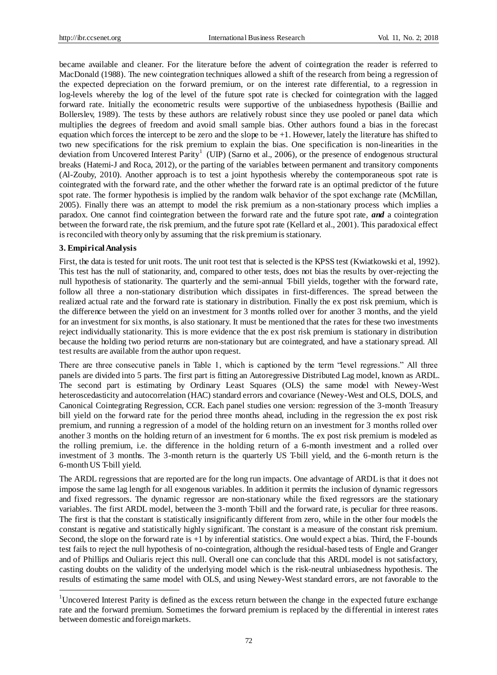became available and cleaner. For the literature before the advent of cointegration the reader is referred to MacDonald (1988). The new cointegration techniques allowed a shift of the research from being a regression of the expected depreciation on the forward premium, or on the interest rate differential, to a regression in log-levels whereby the log of the level of the future spot rate is checked for cointegration with the lagged forward rate. Initially the econometric results were supportive of the unbiasedness hypothesis (Baillie and Bollerslev, 1989). The tests by these authors are relatively robust since they use pooled or panel data which multiplies the degrees of freedom and avoid small sample bias. Other authors found a bias in the forecast equation which forces the intercept to be zero and the slope to be +1. However, lately the literature has shifted to two new specifications for the risk premium to explain the bias. One specification is non-linearities in the deviation from Uncovered Interest Parity<sup>1</sup> (UIP) (Sarno et al., 2006), or the presence of endogenous structural breaks (Hatemi-J and Roca, 2012), or the parting of the variables between permanent and transitory components (Al-Zouby, 2010). Another approach is to test a joint hypothesis whereby the contemporaneous spot rate is cointegrated with the forward rate, and the other whether the forward rate is an optimal predictor of the future spot rate. The former hypothesis is implied by the random walk behavior of the spot exchange rate (McMillan, 2005). Finally there was an attempt to model the risk premium as a non-stationary process which implies a paradox. One cannot find cointegration between the forward rate and the future spot rate, *and* a cointegration between the forward rate, the risk premium, and the future spot rate (Kellard et al., 2001). This paradoxical effect is reconciled with theory only by assuming that the risk premium is stationary.

#### **3. Empirical Analysis**

1

First, the data is tested for unit roots. The unit root test that is selected is the KPSS test (Kwiatkowski et al, 1992). This test has the null of stationarity, and, compared to other tests, does not bias the results by over-rejecting the null hypothesis of stationarity. The quarterly and the semi-annual T-bill yields, together with the forward rate, follow all three a non-stationary distribution which dissipates in first-differences. The spread between the realized actual rate and the forward rate is stationary in distribution. Finally the ex post risk premium, which is the difference between the yield on an investment for 3 months rolled over for another 3 months, and the yield for an investment for six months, is also stationary. It must be mentioned that the rates for these two investments reject individually stationarity. This is more evidence that the ex post risk premium is stationary in distribution because the holding two period returns are non-stationary but are cointegrated, and have a stationary spread. All test results are available from the author upon request.

There are three consecutive panels in Table 1, which is captioned by the term "level regressions." All three panels are divided into 5 parts. The first part is fitting an Autoregressive Distributed Lag model, known as ARDL. The second part is estimating by Ordinary Least Squares (OLS) the same model with Newey-West heteroscedasticity and autocorrelation (HAC) standard errors and covariance (Newey-West and OLS, DOLS, and Canonical Cointegrating Regression, CCR. Each panel studies one version: regression of the 3-month Treasury bill yield on the forward rate for the period three months ahead, including in the regression the ex post risk premium, and running a regression of a model of the holding return on an investment for 3 months rolled over another 3 months on the holding return of an investment for 6 months. The ex post risk premium is modeled as the rolling premium, i.e. the difference in the holding return of a 6-month investment and a rolled over investment of 3 months. The 3-month return is the quarterly US T-bill yield, and the 6-month return is the 6-month US T-bill yield.

The ARDL regressions that are reported are for the long run impacts. One advantage of ARDL is that it does not impose the same lag length for all exogenous variables. In addition it permits the inclusion of dynamic regressors and fixed regressors. The dynamic regressor are non-stationary while the fixed regressors are the stationary variables. The first ARDL model, between the 3-month T-bill and the forward rate, is peculiar for three reasons. The first is that the constant is statistically insignificantly different from zero, while in the other four models the constant is negative and statistically highly significant. The constant is a measure of the constant risk premium. Second, the slope on the forward rate is +1 by inferential statistics. One would expect a bias. Third, the F-bounds test fails to reject the null hypothesis of no-cointegration, although the residual-based tests of Engle and Granger and of Phillips and Ouliaris reject this null. Overall one can conclude that this ARDL model is not satisfactory, casting doubts on the validity of the underlying model which is the risk-neutral unbiasedness hypothesis. The results of estimating the same model with OLS, and using Newey-West standard errors, are not favorable to the

<sup>&</sup>lt;sup>1</sup>Uncovered Interest Parity is defined as the excess return between the change in the expected future exchange rate and the forward premium. Sometimes the forward premium is replaced by the differential in interest rates between domestic and foreign markets.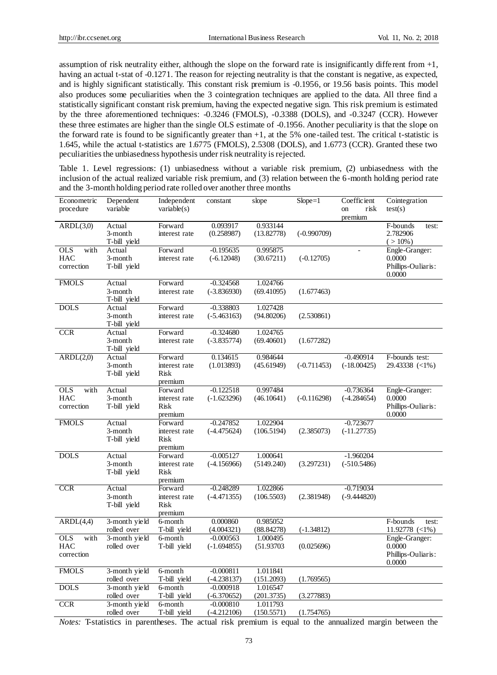assumption of risk neutrality either, although the slope on the forward rate is insignificantly diffe rent from +1, having an actual t-stat of -0.1271. The reason for rejecting neutrality is that the constant is negative, as expected, and is highly significant statistically. This constant risk premium is -0.1956, or 19.56 basis points. This model also produces some peculiarities when the 3 cointegration techniques are applied to the data. All three find a statistically significant constant risk premium, having the expected negative sign. This risk premium is estimated by the three aforementioned techniques: -0.3246 (FMOLS), -0.3388 (DOLS), and -0.3247 (CCR). However these three estimates are higher than the single OLS estimate of -0.1956. Another peculiarity is that the slope on the forward rate is found to be significantly greater than +1, at the 5% one-tailed test. The critical t-statistic is 1.645, while the actual t-statistics are 1.6775 (FMOLS), 2.5308 (DOLS), and 1.6773 (CCR). Granted these two peculiarities the unbiasedness hypothesis under risk neutrality is rejected.

Table 1. Level regressions: (1) unbiasedness without a variable risk premium, (2) unbiasedness with the inclusion of the actual realized variable risk premium, and (3) relation between the 6-month holding period rate and the 3-month holding period rate rolled over another three months

| Econometric<br>procedure                       | Dependent<br>variable             | Independent<br>variable(s)                  | constant                     | slope                  | $Slope = 1$   | Coefficient<br>risk<br>on<br>premium | Cointegration<br>test(s)                                 |
|------------------------------------------------|-----------------------------------|---------------------------------------------|------------------------------|------------------------|---------------|--------------------------------------|----------------------------------------------------------|
| ARDL(3,0)                                      | Actual<br>3-month<br>T-bill yield | Forward<br>interest rate                    | 0.093917<br>(0.258987)       | 0.933144<br>(13.82778) | $(-0.990709)$ |                                      | F-bounds<br>test:<br>2.782906<br>$( > 10\%)$             |
| <b>OLS</b><br>with<br>HAC<br>correction        | Actual<br>3-month<br>T-bill yield | Forward<br>interest rate                    | $-0.195635$<br>$(-6.12048)$  | 0.995875<br>(30.67211) | $(-0.12705)$  |                                      | Engle-Granger:<br>0.0000<br>Phillips-Ouliaris:<br>0.0000 |
| <b>FMOLS</b>                                   | Actual<br>3-month<br>T-bill yield | Forward<br>interest rate                    | $-0.324568$<br>$(-3.836930)$ | 1.024766<br>(69.41095) | (1.677463)    |                                      |                                                          |
| <b>DOLS</b>                                    | Actual<br>3-month<br>T-bill yield | Forward<br>interest rate                    | $-0.338803$<br>$(-5.463163)$ | 1.027428<br>(94.80206) | (2.530861)    |                                      |                                                          |
| <b>CCR</b>                                     | Actual<br>3-month<br>T-bill yield | Forward<br>interest rate                    | $-0.324680$<br>$(-3.835774)$ | 1.024765<br>(69.40601) | (1.677282)    |                                      |                                                          |
| ARDL(2,0)                                      | Actual<br>3-month<br>T-bill yield | Forward<br>interest rate<br>Risk<br>premium | 0.134615<br>(1.013893)       | 0.984644<br>(45.61949) | $(-0.711453)$ | $-0.490914$<br>$(-18.00425)$         | F-bounds test:<br>$29.43338$ (<1%)                       |
| <b>OLS</b><br>with<br><b>HAC</b><br>correction | Actual<br>3-month<br>T-bill yield | Forward<br>interest rate<br>Risk<br>premium | $-0.122518$<br>$(-1.623296)$ | 0.997484<br>(46.10641) | $(-0.116298)$ | $-0.736364$<br>$(-4.284654)$         | Engle-Granger:<br>0.0000<br>Phillips-Ouliaris:<br>0.0000 |
| <b>FMOLS</b>                                   | Actual<br>3-month<br>T-bill yield | Forward<br>interest rate<br>Risk<br>premium | $-0.247852$<br>$(-4.475624)$ | 1.022904<br>(106.5194) | (2.385073)    | $-0.723677$<br>$(-11.27735)$         |                                                          |
| <b>DOLS</b>                                    | Actual<br>3-month<br>T-bill yield | Forward<br>interest rate<br>Risk<br>premium | $-0.005127$<br>$(-4.156966)$ | 1.000641<br>(5149.240) | (3.297231)    | $-1.960204$<br>$(-510.5486)$         |                                                          |
| <b>CCR</b>                                     | Actual<br>3-month<br>T-bill yield | Forward<br>interest rate<br>Risk<br>premium | $-0.248289$<br>$(-4.471355)$ | 1.022866<br>(106.5503) | (2.381948)    | $-0.719034$<br>$(-9.444820)$         |                                                          |
| ARDL(4,4)                                      | 3-month yield<br>rolled over      | 6-month<br>T-bill yield                     | 0.000860<br>(4.004321)       | 0.985052<br>(88.84278) | $(-1.34812)$  |                                      | F-bounds<br>test:<br>$11.92778$ (<1%)                    |
| <b>OLS</b><br>with<br><b>HAC</b><br>correction | 3-month yield<br>rolled over      | 6-month<br>T-bill yield                     | $-0.000563$<br>$(-1.694855)$ | 1.000495<br>(51.93703) | (0.025696)    |                                      | Engle-Granger:<br>0.0000<br>Phillips-Ouliaris:<br>0.0000 |
| <b>FMOLS</b>                                   | 3-month yield<br>rolled over      | 6-month<br>T-bill yield                     | $-0.000811$<br>$(-4.238137)$ | 1.011841<br>(151.2093) | (1.769565)    |                                      |                                                          |
| <b>DOLS</b>                                    | 3-month yield<br>rolled over      | 6-month<br>T-bill yield                     | $-0.000918$<br>$(-6.370652)$ | 1.016547<br>(201.3735) | (3.277883)    |                                      |                                                          |
| CCR                                            | 3-month yield<br>rolled over      | 6-month<br>T-bill yield                     | $-0.000810$<br>$(-4.212106)$ | 1.011793<br>(150.5571) | (1.754765)    |                                      |                                                          |

*Notes:* T-statistics in parentheses. The actual risk premium is equal to the annualized margin between the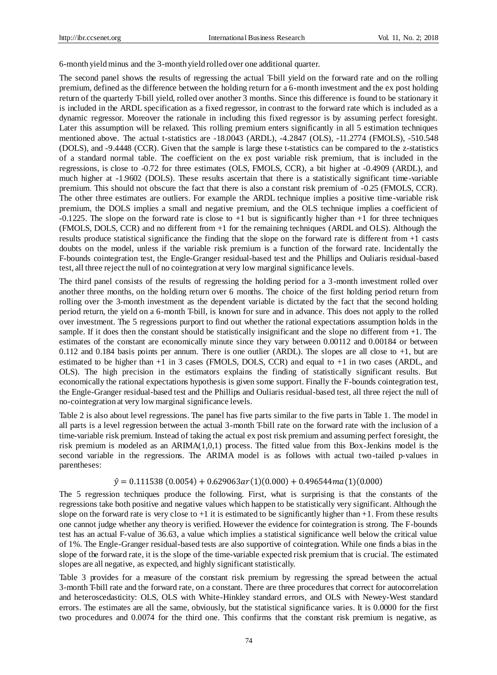6-month yield minus and the 3-month yield rolled over one additional quarter.

The second panel shows the results of regressing the actual T-bill yield on the forward rate and on the rolling premium, defined as the difference between the holding return for a 6-month investment and the ex post holding return of the quarterly T-bill yield, rolled over another 3 months. Since this difference is found to be stationary it is included in the ARDL specification as a fixed regressor, in contrast to the forward rate which is included as a dynamic regressor. Moreover the rationale in including this fixed regressor is by assuming perfect foresight. Later this assumption will be relaxed. This rolling premium enters significantly in all 5 estimation techniques mentioned above. The actual t-statistics are -18.0043 (ARDL), -4.2847 (OLS), -11.2774 (FMOLS), -510.548 (DOLS), and -9.4448 (CCR). Given that the sample is large these t-statistics can be compared to the z-statistics of a standard normal table. The coefficient on the ex post variable risk premium, that is included in the regressions, is close to -0.72 for three estimates (OLS, FMOLS, CCR), a bit higher at -0.4909 (ARDL), and much higher at -1.9602 (DOLS). These results ascertain that there is a statistically significant time-variable premium. This should not obscure the fact that there is also a constant risk premium of -0.25 (FMOLS, CCR). The other three estimates are outliers. For example the ARDL technique implies a positive time-variable risk premium, the DOLS implies a small and negative premium, and the OLS technique implies a coefficient of -0.1225. The slope on the forward rate is close to +1 but is significantly higher than +1 for three techniques (FMOLS, DOLS, CCR) and no different from +1 for the remaining techniques (ARDL and OLS). Although the results produce statistical significance the finding that the slope on the forward rate is different from +1 casts doubts on the model, unless if the variable risk premium is a function of the forward rate. Incidentally the F-bounds cointegration test, the Engle-Granger residual-based test and the Phillips and Ouliaris residual-based test, all three reject the null of no cointegration at very low marginal significance levels.

The third panel consists of the results of regressing the holding period for a 3-month investment rolled over another three months, on the holding return over 6 months. The choice of the first holding period return from rolling over the 3-month investment as the dependent variable is dictated by the fact that the second holding period return, the yield on a 6-month T-bill, is known for sure and in advance. This does not apply to the rolled over investment. The 5 regressions purport to find out whether the rational expectations assumption holds in the sample. If it does then the constant should be statistically insignificant and the slope no different from  $+1$ . The estimates of the constant are economically minute since they vary between 0.00112 and 0.00184 or between 0.112 and 0.184 basis points per annum. There is one outlier (ARDL). The slopes are all close to +1, but are estimated to be higher than +1 in 3 cases (FMOLS, DOLS, CCR) and equal to +1 in two cases (ARDL, and OLS). The high precision in the estimators explains the finding of statistically significant results. But economically the rational expectations hypothesis is given some support. Finally the F-bounds cointegration test, the Engle-Granger residual-based test and the Phillips and Ouliaris residual-based test, all three reject the null of no-cointegration at very low marginal significance levels.

Table 2 is also about level regressions. The panel has five parts similar to the five parts in Table 1. The model in all parts is a level regression between the actual 3-month T-bill rate on the forward rate with the inclusion of a time-variable risk premium. Instead of taking the actual ex post risk premium and assuming perfect foresight, the risk premium is modeled as an  $ARIMA(1,0,1)$  process. The fitted value from this Box-Jenkins model is the second variable in the regressions. The ARIMA model is as follows with actual two-tailed p-values in parentheses:

# $\hat{y} = 0.111538(0.0054) + 0.629063ar(1)(0.000) + 0.496544ma(1)(0.000)$

The 5 regression techniques produce the following. First, what is surprising is that the constants of the regressions take both positive and negative values which happen to be statistically very significant. Although the slope on the forward rate is very close to  $+1$  it is estimated to be significantly higher than  $+1$ . From these results one cannot judge whether any theory is verified. However the evidence for cointegration is strong. The F-bounds test has an actual F-value of 36.63, a value which implies a statistical significance well below the critical value of 1%. The Engle-Granger residual-based tests are also supportive of cointegration. While one finds a bias in the slope of the forward rate, it is the slope of the time-variable expected risk premium that is crucial. The estimated slopes are all negative, as expected, and highly significant statistically.

Table 3 provides for a measure of the constant risk premium by regressing the spread between the actual 3-month T-bill rate and the forward rate, on a constant. There are three procedures that correct for autocorrelation and heteroscedasticity: OLS, OLS with White-Hinkley standard errors, and OLS with Newey-West standard errors. The estimates are all the same, obviously, but the statistical significance varies. It is 0.0000 for the first two procedures and 0.0074 for the third one. This confirms that the constant risk premium is negative, as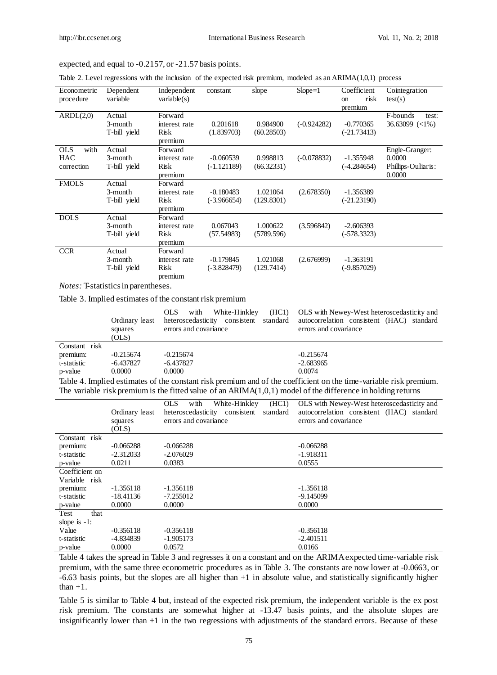expected, and equal to -0.2157, or -21.57 basis points.

Table 2. Level regressions with the inclusion of the expected risk premium, modeled as an ARIMA(1,0,1) process

| Econometric<br>procedure                       | Dependent<br>variable             | Independent<br>variable(s)                  | constant                     | slope                  | $Slope=1$     | Coefficient<br>risk<br><sub>on</sub><br>premium | Cointegration<br>test(s)                                 |
|------------------------------------------------|-----------------------------------|---------------------------------------------|------------------------------|------------------------|---------------|-------------------------------------------------|----------------------------------------------------------|
| ARDL(2,0)                                      | Actual<br>3-month<br>T-bill yield | Forward<br>interest rate<br>Risk<br>premium | 0.201618<br>(1.839703)       | 0.984900<br>(60.28503) | $(-0.924282)$ | $-0.770365$<br>$(-21.73413)$                    | F-bounds<br>test:<br>$36.63099$ $\left( <1\% \right)$    |
| with<br><b>OLS</b><br><b>HAC</b><br>correction | Actual<br>3-month<br>T-bill yield | Forward<br>interest rate<br>Risk<br>premium | $-0.060539$<br>$(-1.121189)$ | 0.998813<br>(66.32331) | $(-0.078832)$ | $-1.355948$<br>$(-4.284654)$                    | Engle-Granger:<br>0.0000<br>Phillips-Ouliaris:<br>0.0000 |
| <b>FMOLS</b>                                   | Actual<br>3-month<br>T-bill yield | Forward<br>interest rate<br>Risk<br>premium | $-0.180483$<br>$(-3.966654)$ | 1.021064<br>(129.8301) | (2.678350)    | $-1.356389$<br>$(-21.23190)$                    |                                                          |
| <b>DOLS</b>                                    | Actual<br>3-month<br>T-bill yield | Forward<br>interest rate<br>Risk<br>premium | 0.067043<br>(57.54983)       | 1.000622<br>(5789.596) | (3.596842)    | $-2.606393$<br>$(-578.3323)$                    |                                                          |
| <b>CCR</b>                                     | Actual<br>3-month<br>T-bill yield | Forward<br>interest rate<br>Risk<br>premium | $-0.179845$<br>$(-3.828479)$ | 1.021068<br>(129.7414) | (2.676999)    | $-1.363191$<br>$(-9.857029)$                    |                                                          |

*Notes:* T-statistics in parentheses.

Table 3. Implied estimates of the constant risk premium

|               | Ordinary least<br>squares<br>(OLS) | with<br>OLS.<br>errors and covariance | White-Hinkley (HC1) OLS with Newey-West heteroscedasticity and<br>heteroscedasticity consistent standard autocorrelation consistent (HAC) standard<br>errors and covariance |
|---------------|------------------------------------|---------------------------------------|-----------------------------------------------------------------------------------------------------------------------------------------------------------------------------|
| Constant risk |                                    |                                       |                                                                                                                                                                             |
| premium:      | $-0.215674$                        | $-0.215674$                           | $-0.215674$                                                                                                                                                                 |
| t-statistic   | -6.437827                          | $-6.437827$                           | $-2.683965$                                                                                                                                                                 |
| p-value       | 0.0000                             | 0.0000                                | 0.0074                                                                                                                                                                      |

Table 4. Implied estimates of the constant risk premium and of the coefficient on the time-variable risk premium. The variable risk premium is the fitted value of an ARIMA(1,0,1) model of the difference in holding returns

|                 |                | (HCl)<br>OLS.<br>with<br>White-Hinkley    | OLS with Newey-West heteroscedasticity and |
|-----------------|----------------|-------------------------------------------|--------------------------------------------|
|                 | Ordinary least | standard<br>heteroscedasticity consistent | autocorrelation consistent (HAC) standard  |
|                 | squares        | errors and covariance                     | errors and covariance                      |
|                 | (OLS)          |                                           |                                            |
| Constant risk   |                |                                           |                                            |
| premium:        | $-0.066288$    | $-0.066288$                               | $-0.066288$                                |
| t-statistic     | $-2.312033$    | $-2.076029$                               | $-1.918311$                                |
| p-value         | 0.0211         | 0.0383                                    | 0.0555                                     |
| Coefficient on  |                |                                           |                                            |
| Variable risk   |                |                                           |                                            |
| premium:        | $-1.356118$    | $-1.356118$                               | $-1.356118$                                |
| t-statistic     | -18.41136      | $-7.255012$                               | -9.145099                                  |
| p-value         | 0.0000         | 0.0000                                    | 0.0000                                     |
| Test<br>that    |                |                                           |                                            |
| slope is $-1$ : |                |                                           |                                            |
| Value           | $-0.356118$    | $-0.356118$                               | $-0.356118$                                |
| t-statistic     | -4.834839      | $-1.905173$                               | $-2.401511$                                |
| p-value         | 0.0000         | 0.0572                                    | 0.0166                                     |

Table 4 takes the spread in Table 3 and regresses it on a constant and on the ARIMA expected time-variable risk premium, with the same three econometric procedures as in Table 3. The constants are now lower at -0.0663, or -6.63 basis points, but the slopes are all higher than +1 in absolute value, and statistically significantly higher than  $+1$ .

Table 5 is similar to Table 4 but, instead of the expected risk premium, the independent variable is the ex post risk premium. The constants are somewhat higher at -13.47 basis points, and the absolute slopes are insignificantly lower than +1 in the two regressions with adjustments of the standard errors. Because of these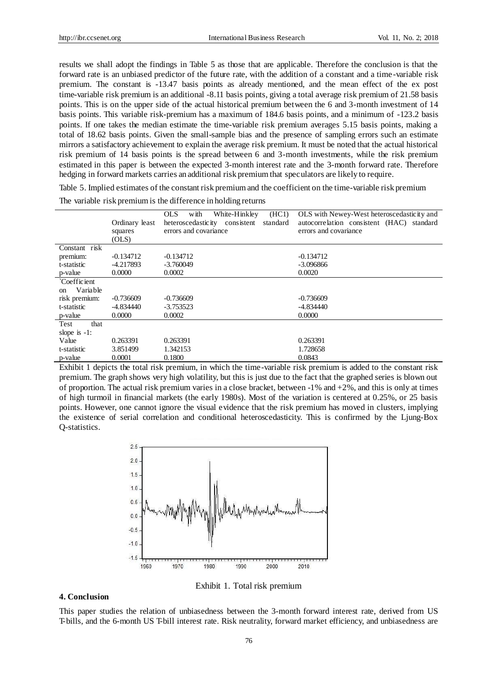results we shall adopt the findings in Table 5 as those that are applicable. Therefore the conclusion is that the forward rate is an unbiased predictor of the future rate, with the addition of a constant and a time -variable risk premium. The constant is -13.47 basis points as already mentioned, and the mean effect of the ex post time-variable risk premium is an additional -8.11 basis points, giving a total average risk premium of 21.58 basis points. This is on the upper side of the actual historical premium between the 6 and 3-month investment of 14 basis points. This variable risk-premium has a maximum of 184.6 basis points, and a minimum of -123.2 basis points. If one takes the median estimate the time-variable risk premium averages 5.15 basis points, making a total of 18.62 basis points. Given the small-sample bias and the presence of sampling errors such an estimate mirrors a satisfactory achievement to explain the average risk premium. It must be noted that the actual historical risk premium of 14 basis points is the spread between 6 and 3-month investments, while the risk premium estimated in this paper is between the expected 3-month interest rate and the 3-month forward rate. Therefore hedging in forward markets carries an additional risk premium that speculators are likely to require.

Table 5. Implied estimates of the constant risk premium and the coefficient on the time-variable risk premium

|                           |                | White-Hinkley<br>OLS.<br>(HCl)<br>with    | OLS with Newey-West heteroscedasticity and |
|---------------------------|----------------|-------------------------------------------|--------------------------------------------|
|                           | Ordinary least | heteroscedasticity consistent<br>standard | autocorrelation consistent (HAC) standard  |
|                           | squares        | errors and covariance                     | errors and covariance                      |
|                           | (OLS)          |                                           |                                            |
| Constant risk             |                |                                           |                                            |
| premium:                  | $-0.134712$    | $-0.134712$                               | $-0.134712$                                |
| t-statistic               | $-4.217893$    | $-3.760049$                               | $-3.096866$                                |
| p-value                   | 0.0000         | 0.0002                                    | 0.0020                                     |
| Coefficient               |                |                                           |                                            |
| Variable<br><sub>on</sub> |                |                                           |                                            |
| risk premium:             | $-0.736609$    | $-0.736609$                               | $-0.736609$                                |
| t-statistic               | $-4.834440$    | $-3.753523$                               | $-4.834440$                                |
| p-value                   | 0.0000         | 0.0002                                    | 0.0000                                     |
| Test<br>that              |                |                                           |                                            |
| slope is $-1$ :           |                |                                           |                                            |
| Value                     | 0.263391       | 0.263391                                  | 0.263391                                   |
| t-statistic               | 3.851499       | 1.342153                                  | 1.728658                                   |
| p-value                   | 0.0001         | 0.1800                                    | 0.0843                                     |

The variable risk premium is the difference in holding returns

Exhibit 1 depicts the total risk premium, in which the time-variable risk premium is added to the constant risk premium. The graph shows very high volatility, but this is just due to the fact that the graphed series is blown out of proportion. The actual risk premium varies in a close bracket, between  $-1\%$  and  $+2\%$ , and this is only at times of high turmoil in financial markets (the early 1980s). Most of the variation is centered at 0.25%, or 25 basis points. However, one cannot ignore the visual evidence that the risk premium has moved in clusters, implying the existence of serial correlation and conditional heteroscedasticity. This is confirmed by the Ljung-Box Q-statistics.



Exhibit 1. Total risk premium

# **4. Conclusion**

This paper studies the relation of unbiasedness between the 3-month forward interest rate, derived from US T-bills, and the 6-month US T-bill interest rate. Risk neutrality, forward market efficiency, and unbiasedness are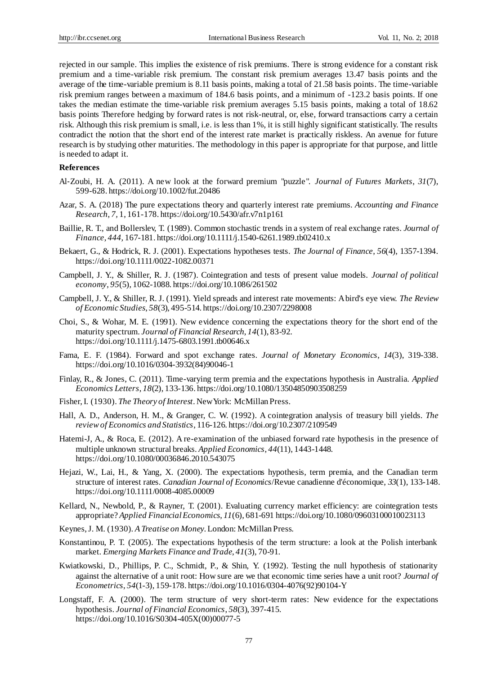rejected in our sample. This implies the existence of risk premiums. There is strong evidence for a constant risk premium and a time-variable risk premium. The constant risk premium averages 13.47 basis points and the average of the time-variable premium is 8.11 basis points, making a total of 21.58 basis points. The time-variable risk premium ranges between a maximum of 184.6 basis points, and a minimum of -123.2 basis points. If one takes the median estimate the time-variable risk premium averages 5.15 basis points, making a total of 18.62 basis points Therefore hedging by forward rates is not risk-neutral, or, else, forward transactions carry a certain risk. Although this risk premium is small, i.e. is less than 1%, it is still highly significant statistically. The results contradict the notion that the short end of the interest rate market is practically riskless. An avenue for future research is by studying other maturities. The methodology in this paper is appropriate for that purpose, and little is needed to adapt it.

## **References**

- Al‐Zoubi, H. A. (2011). A new look at the forward premium "puzzle". *Journal of Futures Markets*, *31*(7), 599-628[. https://doi.org/10.1002/fut.20486](https://doi.org/10.1002/fut.20486)
- Azar, S. A. (2018) The pure expectations theory and quarterly interest rate premiums. *Accounting and Finance Research*, *7,* 1, 161-178[. https://doi.org/10.5430/afr.v7n1p161](https://doi.org/10.5430/afr.v7n1p161)
- Baillie, R. T., and Bollerslev, T. (1989). Common stochastic trends in a system of real exchange rates. *Journal of Finance*, *444,* 167-181[. https://doi.org/10.1111/j.1540-6261.1989.tb02410.x](https://doi.org/10.1111/j.1540-6261.1989.tb02410.x)
- Bekaert, G., & Hodrick, R. J. (2001). Expectations hypotheses tests. *The Journal of Finance*, *56*(4), 1357-1394. <https://doi.org/10.1111/0022-1082.00371>
- Campbell, J. Y., & Shiller, R. J. (1987). Cointegration and tests of present value models. *Journal of political economy*, *95*(5), 1062-1088[. https://doi.org/10.1086/261502](https://doi.org/10.1086/261502)
- Campbell, J. Y., & Shiller, R. J. (1991). Yield spreads and interest rate movements: A bird's eye view. *The Review of Economic Studies*, *58*(3), 495-514[. https://doi.org/10.2307/2298008](https://doi.org/10.2307/2298008)
- Choi, S., & Wohar, M. E. (1991). New evidence concerning the expectations theory for the short end of the maturity spectrum. *Journal of Financial Research*, *14*(1), 83-92. <https://doi.org/10.1111/j.1475-6803.1991.tb00646.x>
- Fama, E. F. (1984). Forward and spot exchange rates. *Journal of Monetary Economics*, *14*(3), 319-338. [https://doi.org/10.1016/0304-3932\(84\)90046-1](https://doi.org/10.1016/0304-3932(84)90046-1)
- Finlay, R., & Jones, C. (2011). Time-varying term premia and the expectations hypothesis in Australia. *Applied Economics Letters*, *18*(2), 133-136[. https://doi.org/10.1080/13504850903508259](https://doi.org/10.1080/13504850903508259)
- Fisher, I. (1930). *The Theory of Interest*. New York: McMillan Press.
- Hall, A. D., Anderson, H. M., & Granger, C. W. (1992). A cointegration analysis of treasury bill yields. *The review of Economics and Statistics*, 116-126[. https://doi.org/10.2307/2109549](https://doi.org/10.2307/2109549)
- Hatemi-J, A., & Roca, E. (2012). A re-examination of the unbiased forward rate hypothesis in the presence of multiple unknown structural breaks. *Applied Economics*, *44*(11), 1443-1448. <https://doi.org/10.1080/00036846.2010.543075>
- Hejazi, W., Lai, H., & Yang, X. (2000). The expectations hypothesis, term premia, and the Canadian term structure of interest rates. *Canadian Journal of Economics*/Revue canadienne d'économique, *33*(1), 133-148. <https://doi.org/10.1111/0008-4085.00009>
- Kellard, N., Newbold, P., & Rayner, T. (2001). Evaluating currency market efficiency: are cointegration tests appropriate? *Applied Financial Economics*, *11*(6), 681-69[1 https://doi.org/10.1080/09603100010023113](https://doi.org/10.1080/09603100010023113)
- Keynes, J. M. (1930). *A Treatise on Money*. London: McMillan Press.
- Konstantinou, P. T. (2005). The expectations hypothesis of the term structure: a look at the Polish interbank market. *Emerging Markets Finance and Trade*, *41*(3), 70-91.
- Kwiatkowski, D., Phillips, P. C., Schmidt, P., & Shin, Y. (1992). Testing the null hypothesis of stationarity against the alternative of a unit root: How sure are we that economic time series have a unit root? *Journal of Econometrics*, *54*(1-3), 159-178[. https://doi.org/10.1016/0304-4076\(92\)90104-Y](https://doi.org/10.1016/0304-4076(92)90104-Y)
- Longstaff, F. A. (2000). The term structure of very short-term rates: New evidence for the expectations hypothesis. *Journal of Financial Economics*, *58*(3), 397-415. [https://doi.org/10.1016/S0304-405X\(00\)00077-5](https://doi.org/10.1016/S0304-405X(00)00077-5)